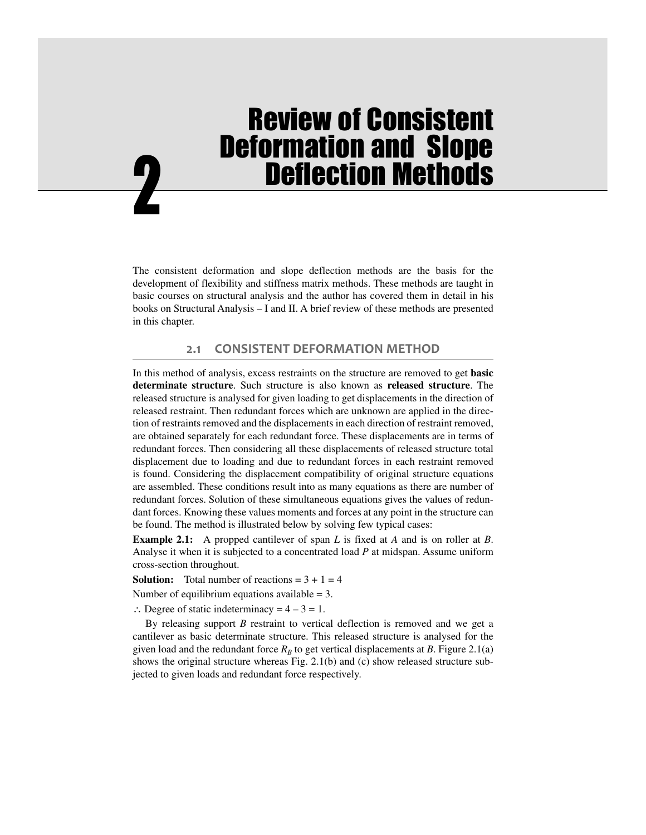# Review of Consistent Deformation and Slope **Deflection Methods**

The consistent deformation and slope deflection methods are the basis for the development of flexibility and stiffness matrix methods. These methods are taught in basic courses on structural analysis and the author has covered them in detail in his books on Structural Analysis – I and II. A brief review of these methods are presented in this chapter.

### **2.1 CONSISTENT DEFORMATION METHOD**

In this method of analysis, excess restraints on the structure are removed to get **basic determinate structure**. Such structure is also known as **released structure**. The released structure is analysed for given loading to get displacements in the direction of released restraint. Then redundant forces which are unknown are applied in the direction of restraints removed and the displacements in each direction of restraint removed, are obtained separately for each redundant force. These displacements are in terms of redundant forces. Then considering all these displacements of released structure total displacement due to loading and due to redundant forces in each restraint removed is found. Considering the displacement compatibility of original structure equations are assembled. These conditions result into as many equations as there are number of redundant forces. Solution of these simultaneous equations gives the values of redundant forces. Knowing these values moments and forces at any point in the structure can be found. The method is illustrated below by solving few typical cases:

**Example 2.1:** A propped cantilever of span *L* is fixed at *A* and is on roller at *B*. Analyse it when it is subjected to a concentrated load *P* at midspan. Assume uniform cross-section throughout.

**Solution:** Total number of reactions =  $3 + 1 = 4$ 

Number of equilibrium equations available  $= 3$ .

 $\therefore$  Degree of static indeterminacy = 4 – 3 = 1.

2

 By releasing support *B* restraint to vertical deflection is removed and we get a cantilever as basic determinate structure. This released structure is analysed for the given load and the redundant force  $R_B$  to get vertical displacements at *B*. Figure 2.1(a) shows the original structure whereas Fig. 2.1(b) and (c) show released structure subjected to given loads and redundant force respectively.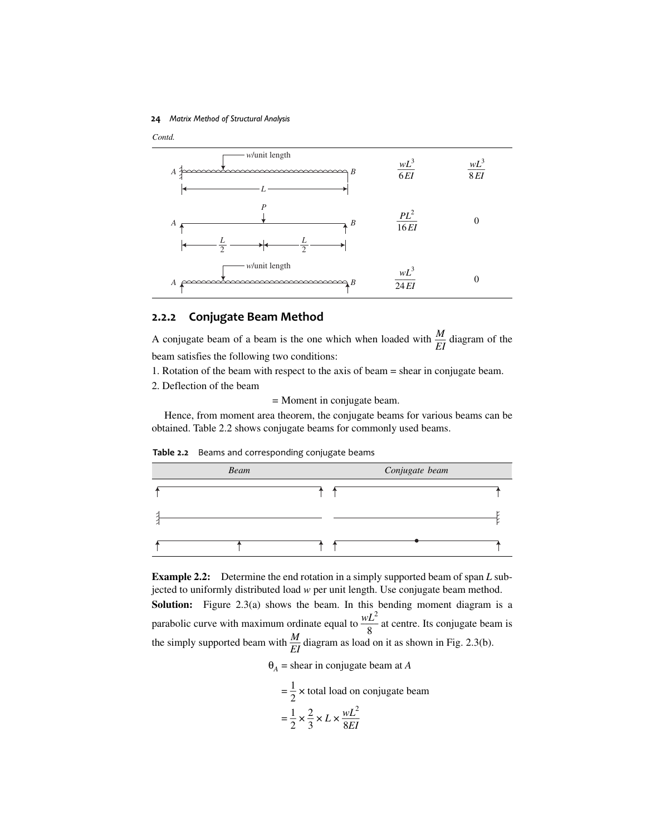**24** *Matrix Method of Structural Analysis*





### **2.2.2 Conjugate Beam Method**

A conjugate beam of a beam is the one which when loaded with  $\frac{M}{EI}$  diagram of the beam satisfies the following two conditions:

1. Rotation of the beam with respect to the axis of beam = shear in conjugate beam.

2. Deflection of the beam

= Moment in conjugate beam.

 Hence, from moment area theorem, the conjugate beams for various beams can be obtained. Table 2.2 shows conjugate beams for commonly used beams.

**Table 2.2** Beams and corresponding conjugate beams



**Example 2.2:** Determine the end rotation in a simply supported beam of span *L* subjected to uniformly distributed load *w* per unit length. Use conjugate beam method. Solution: Figure 2.3(a) shows the beam. In this bending moment diagram is a parabolic curve with maximum ordinate equal to  $\frac{wL^2}{8}$  at centre. Its conjugate beam is the simply supported beam with  $\frac{M}{EI}$  diagram as load on it as shown in Fig. 2.3(b).

 $\theta_A$  = shear in conjugate beam at *A* 

$$
= \frac{1}{2} \times \text{total load on conjugate beam}
$$

$$
= \frac{1}{2} \times \frac{2}{3} \times L \times \frac{wL^2}{8EI}
$$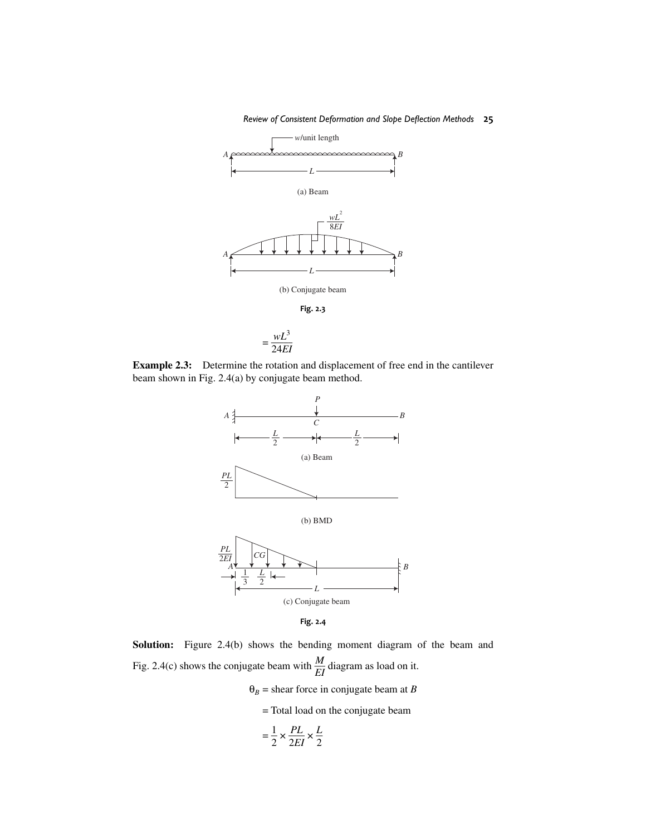*Review of Consistent Deformation and Slope Defl ection Methods* **25**











**Solution:** Figure 2.4(b) shows the bending moment diagram of the beam and Fig. 2.4(c) shows the conjugate beam with  $\frac{M}{EI}$  diagram as load on it.

 $\theta_B$  = shear force in conjugate beam at *B* 

= Total load on the conjugate beam

$$
= \frac{1}{2} \times \frac{PL}{2EI} \times \frac{L}{2}
$$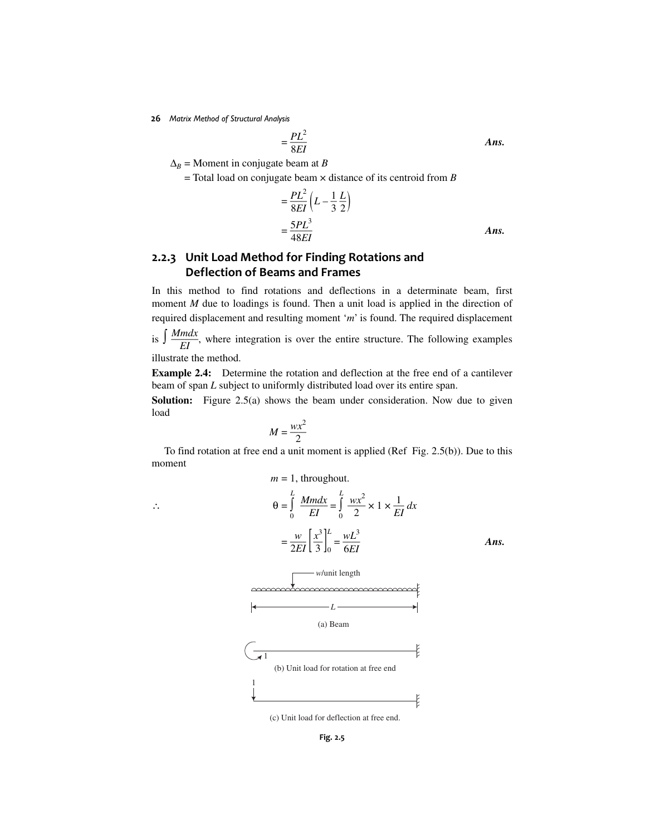$$
=\frac{PL^2}{8EI}
$$
 Ans.

 $\Delta_B$  = Moment in conjugate beam at *B* 

= Total load on conjugate beam × distance of its centroid from *B*

$$
=\frac{PL^2}{8EI}\left(L-\frac{1}{3}\frac{L}{2}\right)
$$

$$
=\frac{5PL^3}{48EI}
$$
Ans.

## **2.2.3 Unit Load Method for Finding Rotations and Deflection of Beams and Frames**

In this method to find rotations and deflections in a determinate beam, first moment *M* due to loadings is found. Then a unit load is applied in the direction of required displacement and resulting moment '*m*' is found. The required displacement is  $\int \frac{Mmdx}{EI}$ , where integration is over the entire structure. The following examples illustrate the method.

**Example 2.4:** Determine the rotation and deflection at the free end of a cantilever beam of span *L* subject to uniformly distributed load over its entire span.

**Solution:** Figure 2.5(a) shows the beam under consideration. Now due to given load

$$
M = \frac{wx^2}{2}
$$

1

 To find rotation at free end a unit moment is applied (Ref Fig. 2.5(b)). Due to this moment

$$
m = 1, \text{ throughout.}
$$
\n
$$
\theta = \int_{0}^{L} \frac{Mm dx}{EI} = \int_{0}^{L} \frac{wx^{2}}{2} \times 1 \times \frac{1}{EI} dx
$$
\n
$$
= \frac{w}{2EI} \left[ \frac{x^{3}}{3} \right]_{0}^{L} = \frac{wL^{3}}{6EI}
$$
\nAns.

\nAmount\n

\nAmount\n

\n1

\n(a) Beam

\n(b) Unit load for rotation at free end

(c) Unit load for deflection at free end.

ł

**Fig. 2.5**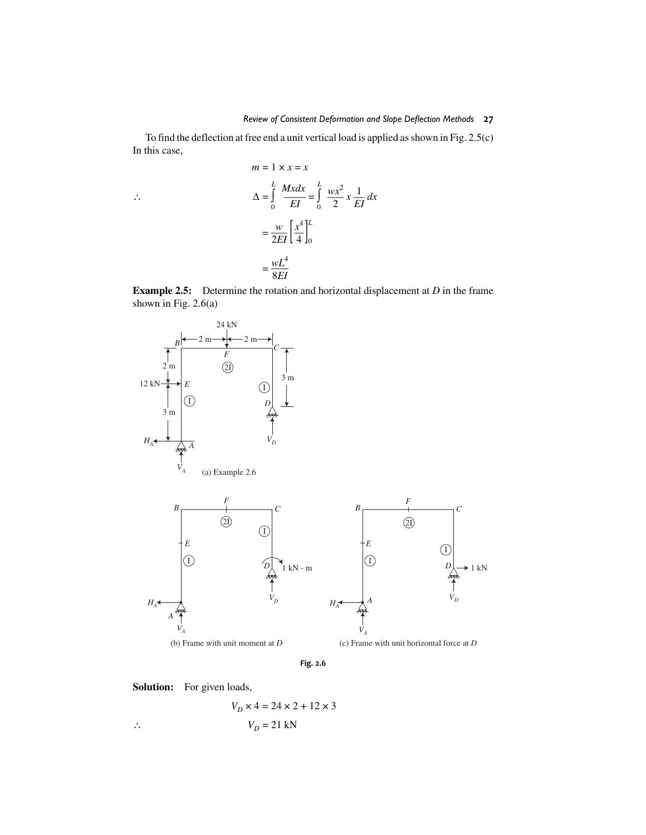To find the deflection at free end a unit vertical load is applied as shown in Fig. 2.5(c) In this case,

$$
m = 1 \times x = x
$$
  
\n
$$
\Delta = \int_{0}^{L} \frac{Mx dx}{EI} = \int_{0}^{L} \frac{wx^{2}}{2} x \frac{1}{EI} dx
$$
  
\n
$$
= \frac{w}{2EI} \left[ \frac{x^{4}}{4} \right]_{0}^{L}
$$
  
\n
$$
= \frac{wL^{4}}{8EI}
$$

**Example 2.5:** Determine the rotation and horizontal displacement at *D* in the frame shown in Fig. 2.6(a)





**Solution:** For given loads,

$$
V_D \times 4 = 24 \times 2 + 12 \times 3
$$
  

$$
\therefore \qquad V_D = 21 \text{ kN}
$$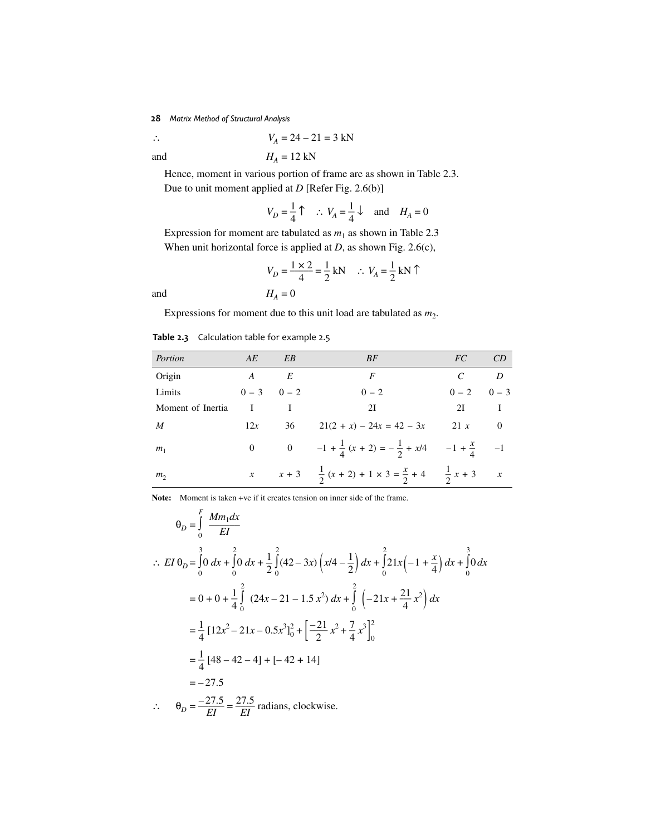$$
V_A = 24 - 21 = 3 \text{ kN}
$$
  
and  

$$
H_A = 12 \text{ kN}
$$

 Hence, moment in various portion of frame are as shown in Table 2.3. Due to unit moment applied at *D* [Refer Fig. 2.6(b)]

$$
V_D = \frac{1}{4} \uparrow
$$
 :  $V_A = \frac{1}{4} \downarrow$  and  $H_A = 0$ 

Expression for moment are tabulated as  $m_1$  as shown in Table 2.3 When unit horizontal force is applied at *D*, as shown Fig. 2.6(c),

$$
V_D = \frac{1 \times 2}{4} = \frac{1}{2} \text{ kN} \quad \therefore \quad V_A = \frac{1}{2} \text{ kN} \uparrow
$$

and  $H_A = 0$ 

Expressions for moment due to this unit load are tabulated as  $m_2$ .

| Portion           | AE  | EB              | BF                                                                               | FC                   | CD             |
|-------------------|-----|-----------------|----------------------------------------------------------------------------------|----------------------|----------------|
| Origin            | A   | E               | $\boldsymbol{F}$                                                                 |                      | D              |
| Limits            |     | $0 - 3$ $0 - 2$ | $0 - 2$                                                                          | $0 - 2 \qquad 0 - 3$ |                |
| Moment of Inertia | T   |                 | 2I                                                                               | 2I                   |                |
| M                 | 12x | 36              | $21(2 + x) - 24x = 42 - 3x$                                                      | 21x                  | $\overline{0}$ |
| m <sub>1</sub>    |     |                 | 0 0 -1 + $\frac{1}{4}$ (x + 2) = - $\frac{1}{2}$ + x/4 -1 + $\frac{x}{4}$ -1     |                      |                |
| m <sub>2</sub>    |     |                 | x $x + 3 = \frac{1}{2}(x + 2) + 1 \times 3 = \frac{x}{2} + 4 = \frac{1}{2}x + 3$ |                      |                |

**Note:** Moment is taken +ve if it creates tension on inner side of the frame.

$$
\theta_D = \int_0^F \frac{Mm_1 dx}{EI}
$$
  
\n
$$
\therefore EI \theta_D = \int_0^3 0 dx + \int_0^2 0 dx + \frac{1}{2} \int_0^2 (42 - 3x) \left(x/4 - \frac{1}{2}\right) dx + \int_0^2 21x \left(-1 + \frac{x}{4}\right) dx + \int_0^3 0 dx
$$
  
\n
$$
= 0 + 0 + \frac{1}{4} \int_0^2 (24x - 21 - 1.5 x^2) dx + \int_0^2 \left(-21x + \frac{21}{4} x^2\right) dx
$$
  
\n
$$
= \frac{1}{4} \left[12x^2 - 21x - 0.5x^3\right]_0^2 + \left[\frac{-21}{2} x^2 + \frac{7}{4} x^3\right]_0^2
$$
  
\n
$$
= \frac{1}{4} \left[48 - 42 - 4\right] + \left[-42 + 14\right]
$$
  
\n
$$
= -27.5
$$
  
\n
$$
\therefore \quad \theta_D = \frac{-27.5}{EI} = \frac{27.5}{EI} \text{ radians, clockwise.}
$$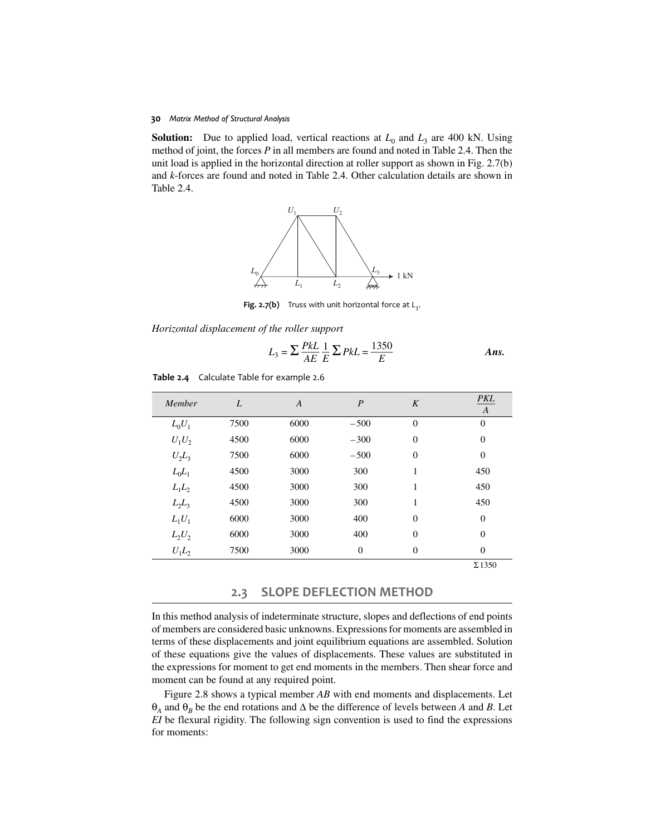**Solution:** Due to applied load, vertical reactions at  $L_0$  and  $L_3$  are 400 kN. Using method of joint, the forces *P* in all members are found and noted in Table 2.4. Then the unit load is applied in the horizontal direction at roller support as shown in Fig. 2.7(b) and *k*-forces are found and noted in Table 2.4. Other calculation details are shown in Table 2.4.



**Fig. 2.7(b)** Truss with unit horizontal force at *L*<sub>3</sub>.

*Horizontal displacement of the roller support*

$$
L_3 = \sum \frac{PkL}{AE} \frac{1}{E} \sum PkL = \frac{1350}{E}
$$
Ans.

|  |  |  | Table 2.4 Calculate Table for example 2.6 |
|--|--|--|-------------------------------------------|
|--|--|--|-------------------------------------------|

| Member   | L    | $\boldsymbol{A}$ | $\boldsymbol{P}$ | K              | <b>PKL</b><br>$\boldsymbol{A}$ |
|----------|------|------------------|------------------|----------------|--------------------------------|
| $L_0U_1$ | 7500 | 6000             | $-500$           | $\Omega$       | $\theta$                       |
| $U_1U_2$ | 4500 | 6000             | $-300$           | $\overline{0}$ | $\Omega$                       |
| $U_2L_3$ | 7500 | 6000             | $-500$           | $\overline{0}$ | $\overline{0}$                 |
| $L_0L_1$ | 4500 | 3000             | 300              | 1              | 450                            |
| $L_1L_2$ | 4500 | 3000             | 300              | 1              | 450                            |
| $L_2L_3$ | 4500 | 3000             | 300              | 1              | 450                            |
| $L_1U_1$ | 6000 | 3000             | 400              | $\overline{0}$ | $\theta$                       |
| $L_2U_2$ | 6000 | 3000             | 400              | $\overline{0}$ | $\theta$                       |
| $U_1L_2$ | 7500 | 3000             | $\overline{0}$   | $\overline{0}$ | $\Omega$                       |
|          |      |                  |                  |                | $\Sigma$ 1350                  |

**2.3 SLOPE DEFLECTION METHOD**

In this method analysis of indeterminate structure, slopes and deflections of end points of members are considered basic unknowns. Expressions for moments are assembled in terms of these displacements and joint equilibrium equations are assembled. Solution of these equations give the values of displacements. These values are substituted in the expressions for moment to get end moments in the members. Then shear force and moment can be found at any required point.

 Figure 2.8 shows a typical member *AB* with end moments and displacements. Let  $\theta_A$  and  $\theta_B$  be the end rotations and  $\Delta$  be the difference of levels between *A* and *B*. Let *EI* be flexural rigidity. The following sign convention is used to find the expressions for moments: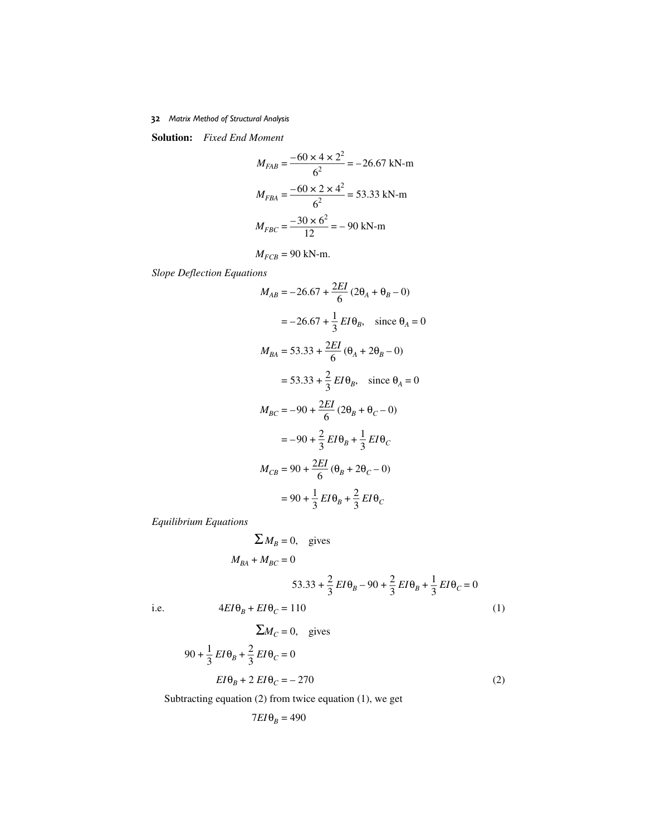**Solution:** *Fixed End Moment*

$$
M_{FAB} = \frac{-60 \times 4 \times 2^2}{6^2} = -26.67 \text{ kN-m}
$$

$$
M_{FBA} = \frac{-60 \times 2 \times 4^2}{6^2} = 53.33 \text{ kN-m}
$$

$$
M_{FBC} = \frac{-30 \times 6^2}{12} = -90 \text{ kN-m}
$$

$$
M_{FCB} = 90 \text{ kN-m}.
$$

*Slope Deflection Equations*

$$
M_{AB} = -26.67 + \frac{2EI}{6} (2\theta_A + \theta_B - 0)
$$
  
= -26.67 +  $\frac{1}{3}$  EI $\theta_B$ , since  $\theta_A = 0$   

$$
M_{BA} = 53.33 + \frac{2EI}{6} (\theta_A + 2\theta_B - 0)
$$
  
= 53.33 +  $\frac{2}{3}$  EI $\theta_B$ , since  $\theta_A = 0$   

$$
M_{BC} = -90 + \frac{2EI}{6} (2\theta_B + \theta_C - 0)
$$
  
= -90 +  $\frac{2}{3}$  EI $\theta_B + \frac{1}{3}$  EI $\theta_C$   

$$
M_{CB} = 90 + \frac{2EI}{6} (\theta_B + 2\theta_C - 0)
$$
  
= 90 +  $\frac{1}{3}$  EI $\theta_B + \frac{2}{3}$  EI $\theta_C$ 

*Equilibrium Equations*

$$
\sum M_B = 0, \quad \text{gives}
$$
  
\n
$$
M_{BA} + M_{BC} = 0
$$
  
\n
$$
53.33 + \frac{2}{3} EI\theta_B - 90 + \frac{2}{3} EI\theta_B + \frac{1}{3} EI\theta_C = 0
$$
  
\ni.e. 
$$
4EI\theta_B + EI\theta_C = 110
$$
 (1)

$$
\Sigma M_C = 0, \quad \text{gives}
$$
  

$$
90 + \frac{1}{3} EI \theta_B + \frac{2}{3} EI \theta_C = 0
$$
  

$$
EI \theta_B + 2 EI \theta_C = -270
$$
 (2)

Subtracting equation (2) from twice equation (1), we get

$$
7EI\theta_B = 490
$$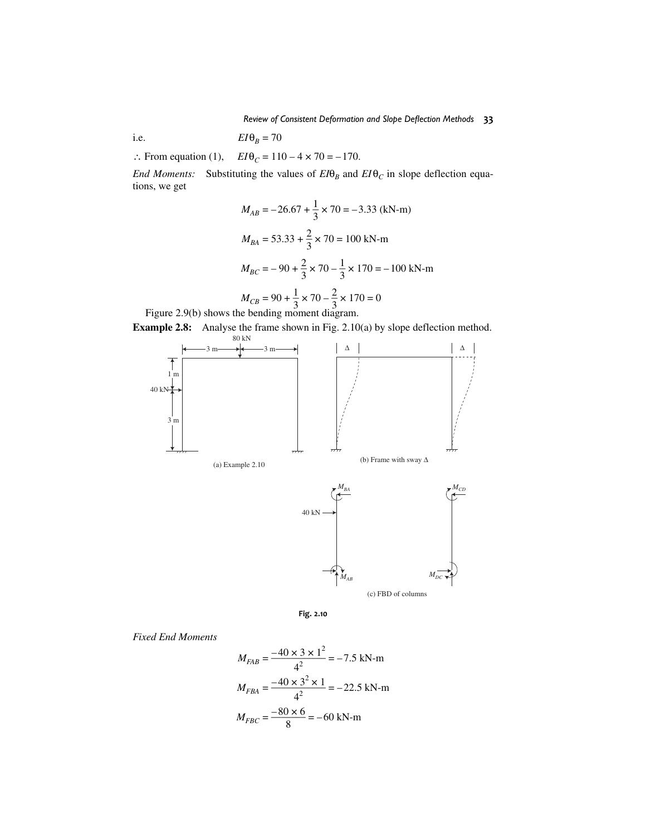i.e.  $EI\theta_B = 70$ 

 $\therefore$  From equation (1), *EI* $\theta_C = 110 - 4 \times 70 = -170$ .

*End Moments:* Substituting the values of  $E I \theta_B$  and  $E I \theta_C$  in slope deflection equations, we get

$$
M_{AB} = -26.67 + \frac{1}{3} \times 70 = -3.33 \text{ (kN-m)}
$$
  
\n
$$
M_{BA} = 53.33 + \frac{2}{3} \times 70 = 100 \text{ kN-m}
$$
  
\n
$$
M_{BC} = -90 + \frac{2}{3} \times 70 - \frac{1}{3} \times 170 = -100 \text{ kN-m}
$$
  
\n
$$
M_{CB} = 90 + \frac{1}{3} \times 70 - \frac{2}{3} \times 170 = 0
$$

Figure 2.9(b) shows the bending moment diagram.

**Example 2.8:** Analyse the frame shown in Fig. 2.10(a) by slope deflection method.





**Fig. 2.10**

*Fixed End Moments*

$$
M_{FAB} = \frac{-40 \times 3 \times 1^2}{4^2} = -7.5 \text{ kN-m}
$$

$$
M_{FBA} = \frac{-40 \times 3^2 \times 1}{4^2} = -22.5 \text{ kN-m}
$$

$$
M_{FBC} = \frac{-80 \times 6}{8} = -60 \text{ kN-m}
$$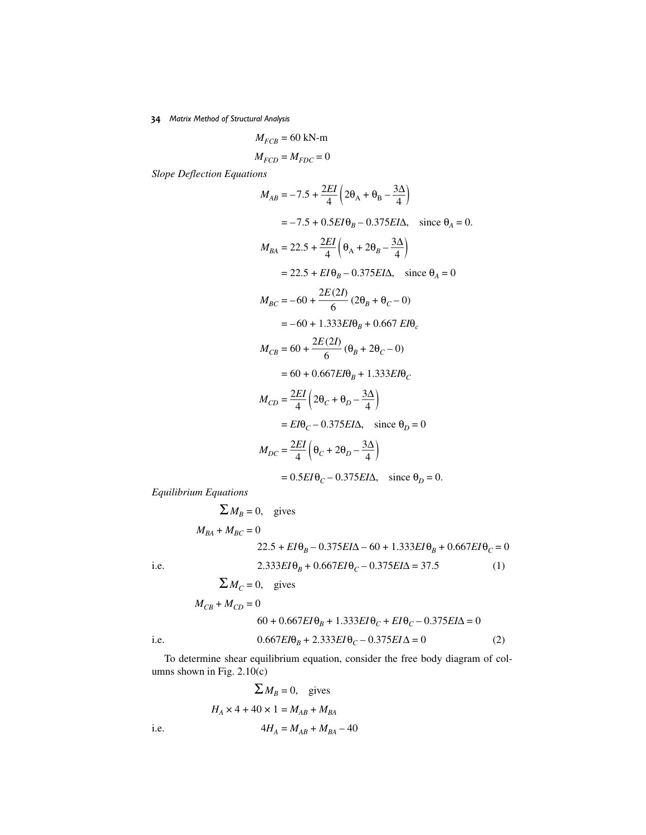$M_{FCB}$  = 60 kN-m  $M_{FCD} = M_{FDC} = 0$ 

*Slope Deflection Equations*

$$
M_{AB} = -7.5 + \frac{2EI}{4} \left( 2\theta_A + \theta_B - \frac{3\Delta}{4} \right)
$$
  
= -7.5 + 0.5EI\theta\_B - 0.375EI\Delta, since  $\theta_A = 0$ .  

$$
M_{BA} = 22.5 + \frac{2EI}{4} \left( \theta_A + 2\theta_B - \frac{3\Delta}{4} \right)
$$
  
= 22.5 + EI\theta\_B - 0.375EI\Delta, since  $\theta_A = 0$   

$$
M_{BC} = -60 + \frac{2E(2I)}{6} (2\theta_B + \theta_C - 0)
$$
  
= -60 + 1.333EI\theta\_B + 0.667 EI\theta\_c  

$$
M_{CB} = 60 + \frac{2E(2I)}{6} (\theta_B + 2\theta_C - 0)
$$
  
= 60 + 0.667EI\theta\_B + 1.333EI\theta\_C  

$$
M_{CD} = \frac{2EI}{4} \left( 2\theta_C + \theta_D - \frac{3\Delta}{4} \right)
$$
  
= EI\theta\_C - 0.375EI\Delta, since  $\theta_D = 0$   

$$
M_{DC} = \frac{2EI}{4} \left( \theta_C + 2\theta_D - \frac{3\Delta}{4} \right)
$$
  
= 0.5EI\theta\_C - 0.375EI\Delta, since  $\theta_D = 0$ .

*Equilibrium Equations*

$$
\sum M_B = 0, \text{ gives}
$$
  
\n
$$
M_{BA} + M_{BC} = 0
$$
  
\n
$$
22.5 + EI\theta_B - 0.375EI\Delta - 60 + 1.333EI\theta_B + 0.667EI\theta_C = 0
$$
  
\ni.e. 
$$
2.333EI\theta_B + 0.667EI\theta_C - 0.375EI\Delta = 37.5
$$
 (1)  
\n
$$
\sum M_C = 0, \text{ gives}
$$

$$
M_{CB} + M_{CD} = 0
$$
  
60 + 0.667EI $\theta_B$  + 1.333EI $\theta_C$  + EI $\theta_C$  - 0.375EI $\Delta$  = 0  
i.e. 0.667EI $\theta_B$  + 2.333EI $\theta_C$  - 0.375EI $\Delta$  = 0 (2)

 To determine shear equilibrium equation, consider the free body diagram of columns shown in Fig. 2.10(c)

$$
\sum M_B = 0, \quad \text{gives}
$$
  
 
$$
H_A \times 4 + 40 \times 1 = M_{AB} + M_{BA}
$$
  
i.e. 
$$
4H_A = M_{AB} + M_{BA} - 40
$$